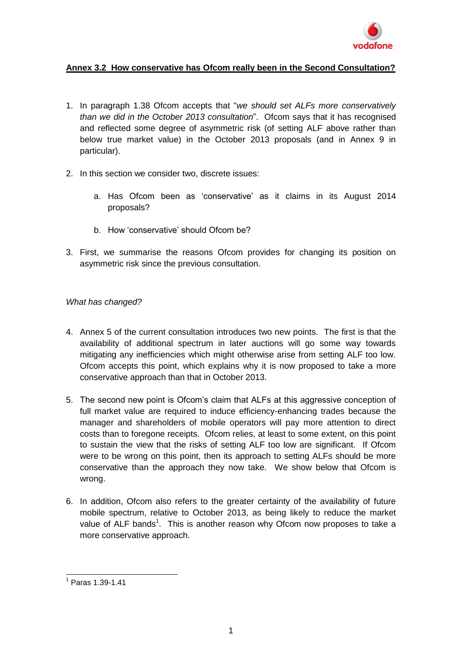

# **Annex 3.2 How conservative has Ofcom really been in the Second Consultation?**

- 1. In paragraph 1.38 Ofcom accepts that "*we should set ALFs more conservatively than we did in the October 2013 consultation*". Ofcom says that it has recognised and reflected some degree of asymmetric risk (of setting ALF above rather than below true market value) in the October 2013 proposals (and in Annex 9 in particular).
- 2. In this section we consider two, discrete issues:
	- a. Has Ofcom been as 'conservative' as it claims in its August 2014 proposals?
	- b. How 'conservative' should Ofcom be?
- 3. First, we summarise the reasons Ofcom provides for changing its position on asymmetric risk since the previous consultation.

### *What has changed?*

- 4. Annex 5 of the current consultation introduces two new points. The first is that the availability of additional spectrum in later auctions will go some way towards mitigating any inefficiencies which might otherwise arise from setting ALF too low. Ofcom accepts this point, which explains why it is now proposed to take a more conservative approach than that in October 2013.
- 5. The second new point is Ofcom's claim that ALFs at this aggressive conception of full market value are required to induce efficiency-enhancing trades because the manager and shareholders of mobile operators will pay more attention to direct costs than to foregone receipts. Ofcom relies, at least to some extent, on this point to sustain the view that the risks of setting ALF too low are significant. If Ofcom were to be wrong on this point, then its approach to setting ALFs should be more conservative than the approach they now take. We show below that Ofcom is wrong.
- 6. In addition, Ofcom also refers to the greater certainty of the availability of future mobile spectrum, relative to October 2013, as being likely to reduce the market value of ALF bands<sup>1</sup>. This is another reason why Ofcom now proposes to take a more conservative approach.

 1 Paras 1.39-1.41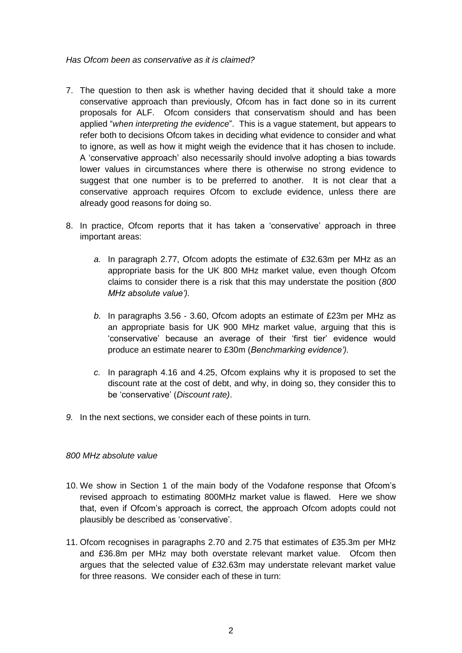*Has Ofcom been as conservative as it is claimed?*

- 7. The question to then ask is whether having decided that it should take a more conservative approach than previously, Ofcom has in fact done so in its current proposals for ALF. Ofcom considers that conservatism should and has been applied "*when interpreting the evidence*". This is a vague statement, but appears to refer both to decisions Ofcom takes in deciding what evidence to consider and what to ignore, as well as how it might weigh the evidence that it has chosen to include. A 'conservative approach' also necessarily should involve adopting a bias towards lower values in circumstances where there is otherwise no strong evidence to suggest that one number is to be preferred to another. It is not clear that a conservative approach requires Ofcom to exclude evidence, unless there are already good reasons for doing so.
- 8. In practice, Ofcom reports that it has taken a 'conservative' approach in three important areas:
	- *a.* In paragraph 2.77, Ofcom adopts the estimate of £32.63m per MHz as an appropriate basis for the UK 800 MHz market value, even though Ofcom claims to consider there is a risk that this may understate the position (*800 MHz absolute value').*
	- *b.* In paragraphs 3.56 3.60, Ofcom adopts an estimate of £23m per MHz as an appropriate basis for UK 900 MHz market value, arguing that this is 'conservative' because an average of their 'first tier' evidence would produce an estimate nearer to £30m (*Benchmarking evidence').*
	- *c.* In paragraph 4.16 and 4.25, Ofcom explains why it is proposed to set the discount rate at the cost of debt, and why, in doing so, they consider this to be 'conservative' (*Discount rate)*.
- *9.* In the next sections, we consider each of these points in turn.

## *800 MHz absolute value*

- 10. We show in Section 1 of the main body of the Vodafone response that Ofcom's revised approach to estimating 800MHz market value is flawed. Here we show that, even if Ofcom's approach is correct, the approach Ofcom adopts could not plausibly be described as 'conservative'.
- 11. Ofcom recognises in paragraphs 2.70 and 2.75 that estimates of £35.3m per MHz and £36.8m per MHz may both overstate relevant market value. Ofcom then argues that the selected value of £32.63m may understate relevant market value for three reasons. We consider each of these in turn: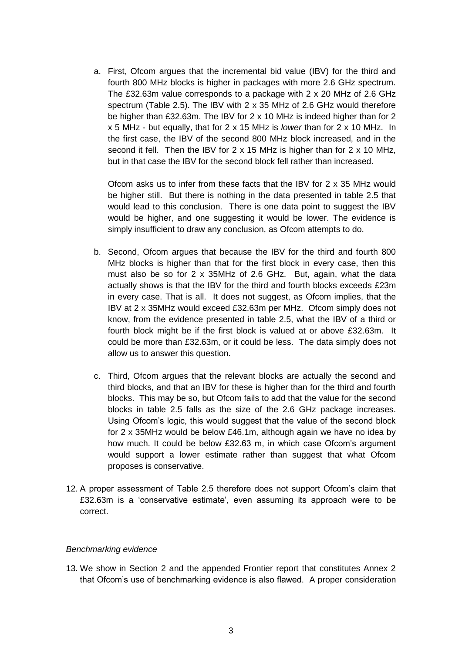a. First, Ofcom argues that the incremental bid value (IBV) for the third and fourth 800 MHz blocks is higher in packages with more 2.6 GHz spectrum. The £32.63m value corresponds to a package with 2 x 20 MHz of 2.6 GHz spectrum (Table 2.5). The IBV with 2 x 35 MHz of 2.6 GHz would therefore be higher than £32.63m. The IBV for 2 x 10 MHz is indeed higher than for 2 x 5 MHz - but equally, that for 2 x 15 MHz is *lower* than for 2 x 10 MHz. In the first case, the IBV of the second 800 MHz block increased, and in the second it fell. Then the IBV for 2 x 15 MHz is higher than for 2 x 10 MHz, but in that case the IBV for the second block fell rather than increased.

Ofcom asks us to infer from these facts that the IBV for 2 x 35 MHz would be higher still. But there is nothing in the data presented in table 2.5 that would lead to this conclusion. There is one data point to suggest the IBV would be higher, and one suggesting it would be lower. The evidence is simply insufficient to draw any conclusion, as Ofcom attempts to do.

- b. Second, Ofcom argues that because the IBV for the third and fourth 800 MHz blocks is higher than that for the first block in every case, then this must also be so for 2 x 35MHz of 2.6 GHz. But, again, what the data actually shows is that the IBV for the third and fourth blocks exceeds £23m in every case. That is all. It does not suggest, as Ofcom implies, that the IBV at 2 x 35MHz would exceed £32.63m per MHz. Ofcom simply does not know, from the evidence presented in table 2.5, what the IBV of a third or fourth block might be if the first block is valued at or above £32.63m. It could be more than £32.63m, or it could be less. The data simply does not allow us to answer this question.
- c. Third, Ofcom argues that the relevant blocks are actually the second and third blocks, and that an IBV for these is higher than for the third and fourth blocks. This may be so, but Ofcom fails to add that the value for the second blocks in table 2.5 falls as the size of the 2.6 GHz package increases. Using Ofcom's logic, this would suggest that the value of the second block for 2 x 35MHz would be below £46.1m, although again we have no idea by how much. It could be below £32.63 m, in which case Ofcom's argument would support a lower estimate rather than suggest that what Ofcom proposes is conservative.
- 12. A proper assessment of Table 2.5 therefore does not support Ofcom's claim that £32.63m is a 'conservative estimate', even assuming its approach were to be correct.

## *Benchmarking evidence*

13. We show in Section 2 and the appended Frontier report that constitutes Annex 2 that Ofcom's use of benchmarking evidence is also flawed. A proper consideration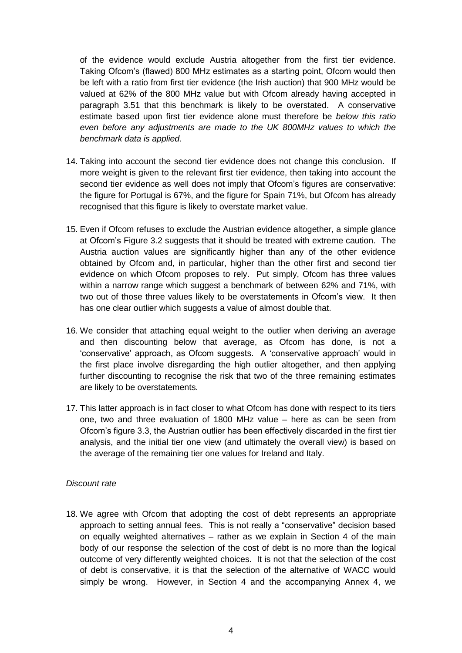of the evidence would exclude Austria altogether from the first tier evidence. Taking Ofcom's (flawed) 800 MHz estimates as a starting point, Ofcom would then be left with a ratio from first tier evidence (the Irish auction) that 900 MHz would be valued at 62% of the 800 MHz value but with Ofcom already having accepted in paragraph 3.51 that this benchmark is likely to be overstated. A conservative estimate based upon first tier evidence alone must therefore be *below this ratio even before any adjustments are made to the UK 800MHz values to which the benchmark data is applied.*

- 14. Taking into account the second tier evidence does not change this conclusion. If more weight is given to the relevant first tier evidence, then taking into account the second tier evidence as well does not imply that Ofcom's figures are conservative: the figure for Portugal is 67%, and the figure for Spain 71%, but Ofcom has already recognised that this figure is likely to overstate market value.
- 15. Even if Ofcom refuses to exclude the Austrian evidence altogether, a simple glance at Ofcom's Figure 3.2 suggests that it should be treated with extreme caution. The Austria auction values are significantly higher than any of the other evidence obtained by Ofcom and, in particular, higher than the other first and second tier evidence on which Ofcom proposes to rely. Put simply, Ofcom has three values within a narrow range which suggest a benchmark of between 62% and 71%, with two out of those three values likely to be overstatements in Ofcom's view. It then has one clear outlier which suggests a value of almost double that.
- 16. We consider that attaching equal weight to the outlier when deriving an average and then discounting below that average, as Ofcom has done, is not a 'conservative' approach, as Ofcom suggests. A 'conservative approach' would in the first place involve disregarding the high outlier altogether, and then applying further discounting to recognise the risk that two of the three remaining estimates are likely to be overstatements.
- 17. This latter approach is in fact closer to what Ofcom has done with respect to its tiers one, two and three evaluation of 1800 MHz value – here as can be seen from Ofcom's figure 3.3, the Austrian outlier has been effectively discarded in the first tier analysis, and the initial tier one view (and ultimately the overall view) is based on the average of the remaining tier one values for Ireland and Italy.

## *Discount rate*

18. We agree with Ofcom that adopting the cost of debt represents an appropriate approach to setting annual fees. This is not really a "conservative" decision based on equally weighted alternatives – rather as we explain in Section 4 of the main body of our response the selection of the cost of debt is no more than the logical outcome of very differently weighted choices. It is not that the selection of the cost of debt is conservative, it is that the selection of the alternative of WACC would simply be wrong. However, in Section 4 and the accompanying Annex 4, we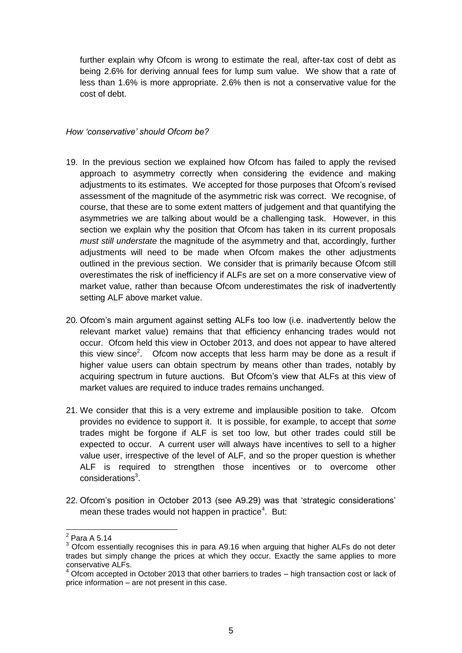further explain why Ofcom is wrong to estimate the real, after-tax cost of debt as being 2.6% for deriving annual fees for lump sum value. We show that a rate of less than 1.6% is more appropriate. 2.6% then is not a conservative value for the cost of debt.

## *How 'conservative' should Ofcom be?*

- 19. In the previous section we explained how Ofcom has failed to apply the revised approach to asymmetry correctly when considering the evidence and making adjustments to its estimates. We accepted for those purposes that Ofcom's revised assessment of the magnitude of the asymmetric risk was correct. We recognise, of course, that these are to some extent matters of judgement and that quantifying the asymmetries we are talking about would be a challenging task. However, in this section we explain why the position that Ofcom has taken in its current proposals *must still understate* the magnitude of the asymmetry and that, accordingly, further adjustments will need to be made when Ofcom makes the other adjustments outlined in the previous section. We consider that is primarily because Ofcom still overestimates the risk of inefficiency if ALFs are set on a more conservative view of market value, rather than because Ofcom underestimates the risk of inadvertently setting ALF above market value.
- 20. Ofcom's main argument against setting ALFs too low (i.e. inadvertently below the relevant market value) remains that that efficiency enhancing trades would not occur. Ofcom held this view in October 2013, and does not appear to have altered this view since<sup>2</sup>. Ofcom now accepts that less harm may be done as a result if higher value users can obtain spectrum by means other than trades, notably by acquiring spectrum in future auctions. But Ofcom's view that ALFs at this view of market values are required to induce trades remains unchanged.
- 21. We consider that this is a very extreme and implausible position to take. Ofcom provides no evidence to support it. It is possible, for example, to accept that *some* trades might be forgone if ALF is set too low, but other trades could still be expected to occur. A current user will always have incentives to sell to a higher value user, irrespective of the level of ALF, and so the proper question is whether ALF is required to strengthen those incentives or to overcome other considerations<sup>3</sup>.
- 22. Ofcom's position in October 2013 (see A9.29) was that 'strategic considerations' mean these trades would not happen in practice<sup>4</sup>. But:

<sup>&</sup>lt;u>2</u><br>Para A 5.14

 $3$  Ofcom essentially recognises this in para A9.16 when arguing that higher ALFs do not deter trades but simply change the prices at which they occur. Exactly the same applies to more conservative ALFs.

 $<sup>4</sup>$  Ofcom accepted in October 2013 that other barriers to trades  $-$  high transaction cost or lack of</sup> price information – are not present in this case.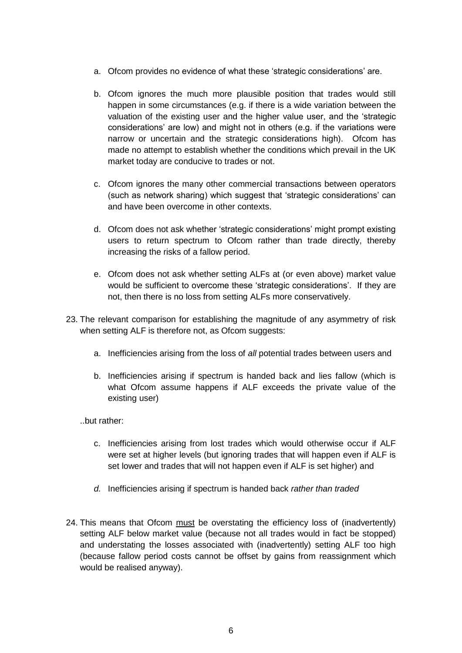- a. Ofcom provides no evidence of what these 'strategic considerations' are.
- b. Ofcom ignores the much more plausible position that trades would still happen in some circumstances (e.g. if there is a wide variation between the valuation of the existing user and the higher value user, and the 'strategic considerations' are low) and might not in others (e.g. if the variations were narrow or uncertain and the strategic considerations high). Ofcom has made no attempt to establish whether the conditions which prevail in the UK market today are conducive to trades or not.
- c. Ofcom ignores the many other commercial transactions between operators (such as network sharing) which suggest that 'strategic considerations' can and have been overcome in other contexts.
- d. Ofcom does not ask whether 'strategic considerations' might prompt existing users to return spectrum to Ofcom rather than trade directly, thereby increasing the risks of a fallow period.
- e. Ofcom does not ask whether setting ALFs at (or even above) market value would be sufficient to overcome these 'strategic considerations'. If they are not, then there is no loss from setting ALFs more conservatively.
- 23. The relevant comparison for establishing the magnitude of any asymmetry of risk when setting ALF is therefore not, as Ofcom suggests:
	- a. Inefficiencies arising from the loss of *all* potential trades between users and
	- b. Inefficiencies arising if spectrum is handed back and lies fallow (which is what Ofcom assume happens if ALF exceeds the private value of the existing user)
	- ..but rather:
		- c. Inefficiencies arising from lost trades which would otherwise occur if ALF were set at higher levels (but ignoring trades that will happen even if ALF is set lower and trades that will not happen even if ALF is set higher) and
		- *d.* Inefficiencies arising if spectrum is handed back *rather than traded*
- 24. This means that Ofcom must be overstating the efficiency loss of (inadvertently) setting ALF below market value (because not all trades would in fact be stopped) and understating the losses associated with (inadvertently) setting ALF too high (because fallow period costs cannot be offset by gains from reassignment which would be realised anyway).